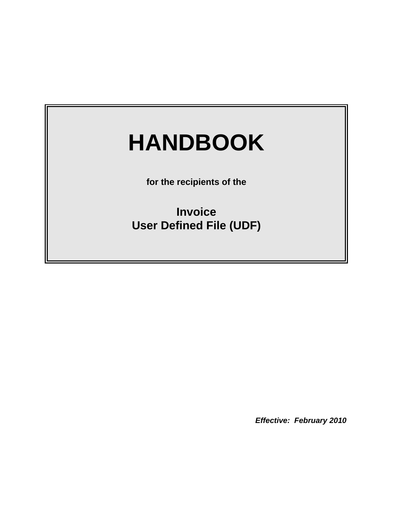# **HANDBOOK**

**for the recipients of the**

**Invoice User Defined File (UDF)**

*Effective: February 2010*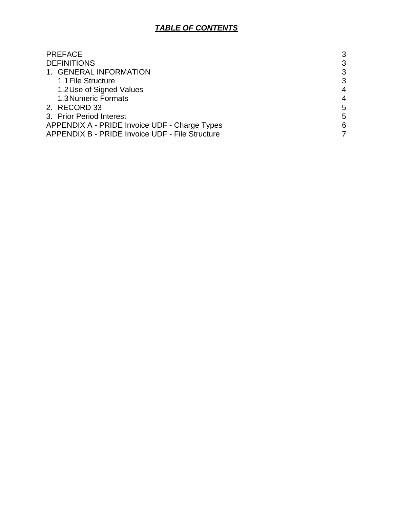## *TABLE OF CONTENTS*

| <b>PREFACE</b>                                  | 3 |
|-------------------------------------------------|---|
| <b>DEFINITIONS</b>                              | 3 |
| 1. GENERAL INFORMATION                          | 3 |
| 1.1 File Structure                              | 3 |
| 1.2 Use of Signed Values                        | 4 |
| 1.3 Numeric Formats                             | 4 |
| 2. RECORD 33                                    | 5 |
| 3. Prior Period Interest                        | 5 |
| APPENDIX A - PRIDE Invoice UDF - Charge Types   | 6 |
| APPENDIX B - PRIDE Invoice UDF - File Structure |   |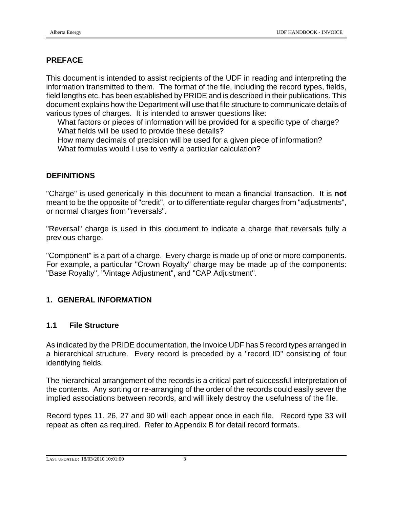## **PREFACE**

This document is intended to assist recipients of the UDF in reading and interpreting the information transmitted to them. The format of the file, including the record types, fields, field lengths etc. has been established by PRIDE and is described in their publications. This document explains how the Department will use that file structure to communicate details of various types of charges. It is intended to answer questions like:

What factors or pieces of information will be provided for a specific type of charge? What fields will be used to provide these details?

How many decimals of precision will be used for a given piece of information? What formulas would I use to verify a particular calculation?

## **DEFINITIONS**

"Charge" is used generically in this document to mean a financial transaction. It is **not** meant to be the opposite of "credit", or to differentiate regular charges from "adjustments", or normal charges from "reversals".

"Reversal" charge is used in this document to indicate a charge that reversals fully a previous charge.

"Component" is a part of a charge. Every charge is made up of one or more components. For example, a particular "Crown Royalty" charge may be made up of the components: "Base Royalty", "Vintage Adjustment", and "CAP Adjustment".

## **1. GENERAL INFORMATION**

#### **1.1 File Structure**

As indicated by the PRIDE documentation, the Invoice UDF has 5 record types arranged in a hierarchical structure. Every record is preceded by a "record ID" consisting of four identifying fields.

The hierarchical arrangement of the records is a critical part of successful interpretation of the contents. Any sorting or re-arranging of the order of the records could easily sever the implied associations between records, and will likely destroy the usefulness of the file.

Record types 11, 26, 27 and 90 will each appear once in each file. Record type 33 will repeat as often as required. Refer to Appendix B for detail record formats.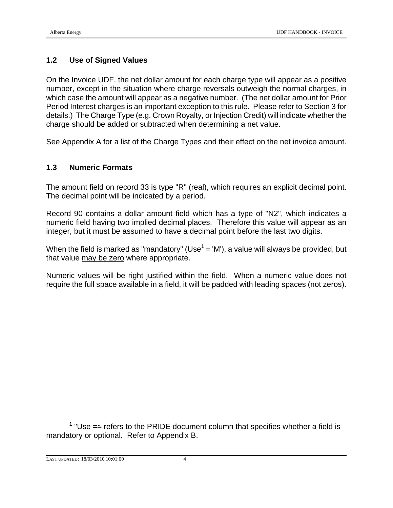#### **1.2 Use of Signed Values**

On the Invoice UDF, the net dollar amount for each charge type will appear as a positive number, except in the situation where charge reversals outweigh the normal charges, in which case the amount will appear as a negative number. (The net dollar amount for Prior Period Interest charges is an important exception to this rule. Please refer to Section 3 for details.) The Charge Type (e.g. Crown Royalty, or Injection Credit) will indicate whether the charge should be added or subtracted when determining a net value.

See Appendix A for a list of the Charge Types and their effect on the net invoice amount.

#### **1.3 Numeric Formats**

The amount field on record 33 is type "R" (real), which requires an explicit decimal point. The decimal point will be indicated by a period.

Record 90 contains a dollar amount field which has a type of "N2", which indicates a numeric field having two implied decimal places. Therefore this value will appear as an integer, but it must be assumed to have a decimal point before the last two digits.

When the field is marked as "mandatory" (Use<sup>1</sup> = 'M'), a value will always be provided, but that value may be zero where appropriate.

Numeric values will be right justified within the field. When a numeric value does not require the full space available in a field, it will be padded with leading spaces (not zeros).

 $\frac{1}{1}$  $1$  "Use = refers to the PRIDE document column that specifies whether a field is mandatory or optional. Refer to Appendix B.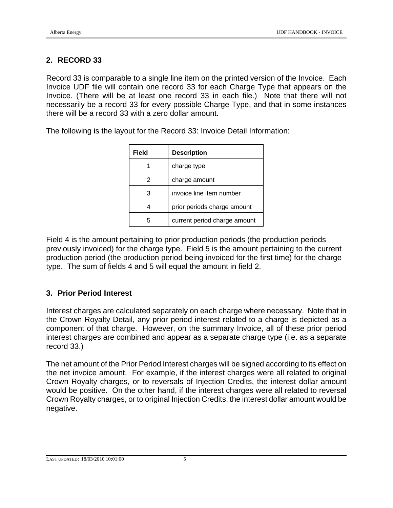## **2. RECORD 33**

Record 33 is comparable to a single line item on the printed version of the Invoice. Each Invoice UDF file will contain one record 33 for each Charge Type that appears on the Invoice. (There will be at least one record 33 in each file.) Note that there will not necessarily be a record 33 for every possible Charge Type, and that in some instances there will be a record 33 with a zero dollar amount.

The following is the layout for the Record 33: Invoice Detail Information:

| Field | <b>Description</b>           |
|-------|------------------------------|
|       | charge type                  |
| 2     | charge amount                |
| 3     | invoice line item number     |
|       | prior periods charge amount  |
|       | current period charge amount |

Field 4 is the amount pertaining to prior production periods (the production periods previously invoiced) for the charge type. Field 5 is the amount pertaining to the current production period (the production period being invoiced for the first time) for the charge type. The sum of fields 4 and 5 will equal the amount in field 2.

## **3. Prior Period Interest**

Interest charges are calculated separately on each charge where necessary. Note that in the Crown Royalty Detail, any prior period interest related to a charge is depicted as a component of that charge. However, on the summary Invoice, all of these prior period interest charges are combined and appear as a separate charge type (i.e. as a separate record 33.)

The net amount of the Prior Period Interest charges will be signed according to its effect on the net invoice amount. For example, if the interest charges were all related to original Crown Royalty charges, or to reversals of Injection Credits, the interest dollar amount would be positive. On the other hand, if the interest charges were all related to reversal Crown Royalty charges, or to original Injection Credits, the interest dollar amount would be negative.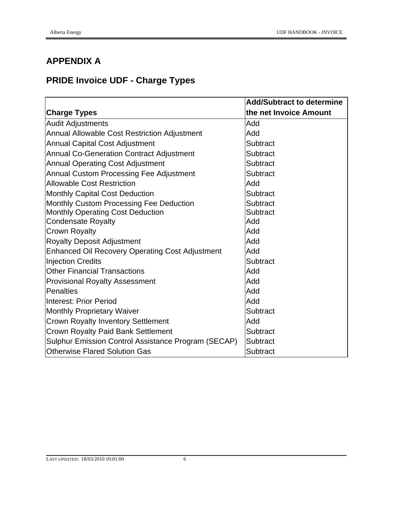# **APPENDIX A**

# **PRIDE Invoice UDF - Charge Types**

|                                                        | <b>Add/Subtract to determine</b> |
|--------------------------------------------------------|----------------------------------|
| <b>Charge Types</b>                                    | the net Invoice Amount           |
| <b>Audit Adjustments</b>                               | Add                              |
| <b>Annual Allowable Cost Restriction Adjustment</b>    | Add                              |
| <b>Annual Capital Cost Adjustment</b>                  | Subtract                         |
| <b>Annual Co-Generation Contract Adjustment</b>        | Subtract                         |
| <b>Annual Operating Cost Adjustment</b>                | Subtract                         |
| Annual Custom Processing Fee Adjustment                | Subtract                         |
| <b>Allowable Cost Restriction</b>                      | Add                              |
| Monthly Capital Cost Deduction                         | Subtract                         |
| Monthly Custom Processing Fee Deduction                | Subtract                         |
| Monthly Operating Cost Deduction                       | Subtract                         |
| <b>Condensate Royalty</b>                              | Add                              |
| <b>Crown Royalty</b>                                   | Add                              |
| <b>Royalty Deposit Adjustment</b>                      | Add                              |
| <b>Enhanced Oil Recovery Operating Cost Adjustment</b> | Add                              |
| <b>Injection Credits</b>                               | Subtract                         |
| <b>Other Financial Transactions</b>                    | Add                              |
| <b>Provisional Royalty Assessment</b>                  | Add                              |
| <b>Penalties</b>                                       | Add                              |
| Interest: Prior Period                                 | Add                              |
| <b>Monthly Proprietary Waiver</b>                      | Subtract                         |
| <b>Crown Royalty Inventory Settlement</b>              | Add                              |
| <b>Crown Royalty Paid Bank Settlement</b>              | Subtract                         |
| Sulphur Emission Control Assistance Program (SECAP)    | Subtract                         |
| Otherwise Flared Solution Gas                          | Subtract                         |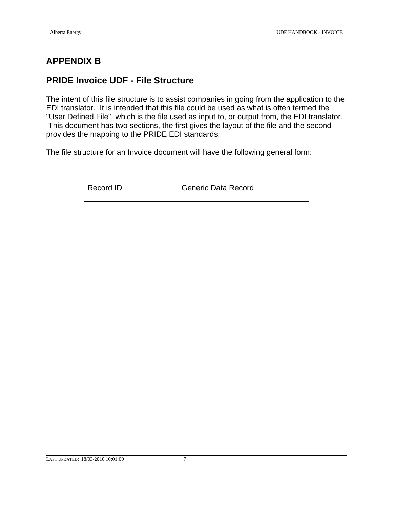# **APPENDIX B**

# **PRIDE Invoice UDF - File Structure**

The intent of this file structure is to assist companies in going from the application to the EDI translator. It is intended that this file could be used as what is often termed the "User Defined File", which is the file used as input to, or output from, the EDI translator. This document has two sections, the first gives the layout of the file and the second provides the mapping to the PRIDE EDI standards.

The file structure for an Invoice document will have the following general form:

| Record ID | <b>Generic Data Record</b> |
|-----------|----------------------------|
|           |                            |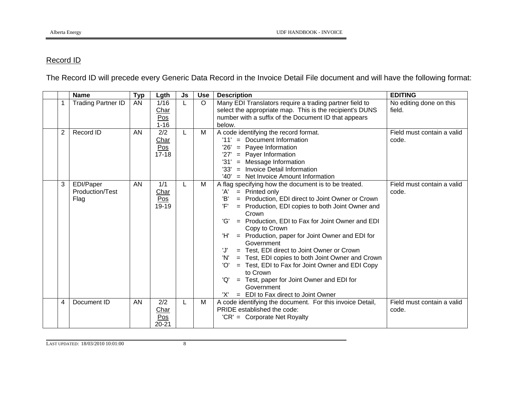## Record ID

The Record ID will precede every Generic Data Record in the Invoice Detail File document and will have the following format:

|                | <b>Name</b>                          | <b>Typ</b> | Lgth                            | Js | <b>Use</b> | <b>Description</b>                                                                                                                                                                                                                                                                                                                                                                                                                                                                                                                                                                                                                                                      | <b>EDITING</b>                      |
|----------------|--------------------------------------|------------|---------------------------------|----|------------|-------------------------------------------------------------------------------------------------------------------------------------------------------------------------------------------------------------------------------------------------------------------------------------------------------------------------------------------------------------------------------------------------------------------------------------------------------------------------------------------------------------------------------------------------------------------------------------------------------------------------------------------------------------------------|-------------------------------------|
|                | <b>Trading Partner ID</b>            | AN         | 1/16<br>Char<br>Pos<br>$1 - 16$ |    | $\circ$    | Many EDI Translators require a trading partner field to<br>select the appropriate map. This is the recipient's DUNS<br>number with a suffix of the Document ID that appears<br>below.                                                                                                                                                                                                                                                                                                                                                                                                                                                                                   | No editing done on this<br>field.   |
| $\overline{2}$ | Record ID                            | AN         | 2/2<br>Char<br>Pos<br>$17 - 18$ | L. | М          | A code identifying the record format.<br>= Document Information<br>'11'<br>'26'<br>$=$ Payee Information<br>= Payer Information<br>'27'<br>'31'<br>= Message Information<br>'33'<br>= Invoice Detail Information<br>'40'<br>$=$ Net Invoice Amount Information                                                                                                                                                                                                                                                                                                                                                                                                          | Field must contain a valid<br>code. |
| 3              | EDI/Paper<br>Production/Test<br>Flag | AN         | 1/1<br>Char<br>Pos<br>19-19     |    | M          | A flag specifying how the document is to be treated.<br>'A'<br>$=$ Printed only<br>'B'<br>= Production, EDI direct to Joint Owner or Crown<br>'F'<br>= Production, EDI copies to both Joint Owner and<br>Crown<br>'G'<br>= Production, EDI to Fax for Joint Owner and EDI<br>Copy to Crown<br>'H'<br>= Production, paper for Joint Owner and EDI for<br>Government<br>'J'<br>= Test, EDI direct to Joint Owner or Crown<br>'N'<br>= Test, EDI copies to both Joint Owner and Crown<br>'O'<br>= Test, EDI to Fax for Joint Owner and EDI Copy<br>to Crown<br>= Test, paper for Joint Owner and EDI for<br>'Q'<br>Government<br>= EDI to Fax direct to Joint Owner<br>'X' | Field must contain a valid<br>code. |
| 4              | Document ID                          | AN         | 2/2<br>Char<br>Pos<br>$20 - 21$ | L  | M          | A code identifying the document. For this invoice Detail,<br>PRIDE established the code:<br>'CR' = Corporate Net Royalty                                                                                                                                                                                                                                                                                                                                                                                                                                                                                                                                                | Field must contain a valid<br>code. |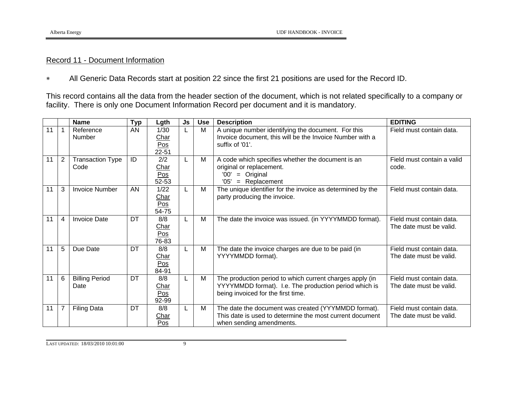#### Record 11 - Document Information

All Generic Data Records start at position 22 since the first 21 positions are used for the Record ID.

This record contains all the data from the header section of the document, which is not related specifically to a company or facility. There is only one Document Information Record per document and it is mandatory.

|    |                | <b>Name</b>                     | <b>Typ</b> | Lgth                         | Js | <b>Use</b> | <b>Description</b>                                                                                                                                      | <b>EDITING</b>                                      |
|----|----------------|---------------------------------|------------|------------------------------|----|------------|---------------------------------------------------------------------------------------------------------------------------------------------------------|-----------------------------------------------------|
| 11 |                | Reference<br>Number             | AN         | 1/30<br>Char<br>Pos<br>22-51 |    | M          | A unique number identifying the document. For this<br>Invoice document, this will be the Invoice Number with a<br>suffix of '01'.                       | Field must contain data.                            |
| 11 | $\overline{2}$ | <b>Transaction Type</b><br>Code | ID         | 2/2<br>Char<br>Pos<br>52-53  |    | M          | A code which specifies whether the document is an<br>original or replacement.<br>$=$ Original<br>'00'<br>'05'<br>= Replacement                          | Field must contain a valid<br>code.                 |
| 11 | 3              | <b>Invoice Number</b>           | AN         | 1/22<br>Char<br>Pos<br>54-75 |    | M          | The unique identifier for the invoice as determined by the<br>party producing the invoice.                                                              | Field must contain data.                            |
| 11 | 4              | <b>Invoice Date</b>             | DT         | 8/8<br>Char<br>Pos<br>76-83  |    | M          | The date the invoice was issued. (in YYYYMMDD format).                                                                                                  | Field must contain data.<br>The date must be valid. |
| 11 | 5              | Due Date                        | DT         | 8/8<br>Char<br>Pos<br>84-91  |    | M          | The date the invoice charges are due to be paid (in<br>YYYYMMDD format).                                                                                | Field must contain data.<br>The date must be valid. |
| 11 | 6              | <b>Billing Period</b><br>Date   | DT         | 8/8<br>Char<br>Pos<br>92-99  |    | M          | The production period to which current charges apply (in<br>YYYYMMDD format). I.e. The production period which is<br>being invoiced for the first time. | Field must contain data.<br>The date must be valid. |
| 11 | 7              | <b>Filing Data</b>              | DT         | 8/8<br>Char<br>Pos           |    | M          | The date the document was created (YYYMMDD format).<br>This date is used to determine the most current document<br>when sending amendments.             | Field must contain data.<br>The date must be valid. |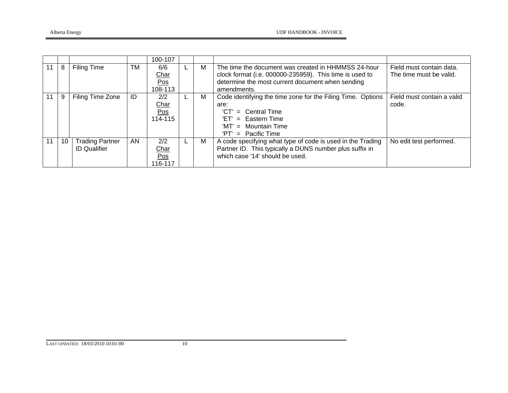|    |    |                                               |    | 100-107                              |   |                                                                                                                                                                                   |                                                     |
|----|----|-----------------------------------------------|----|--------------------------------------|---|-----------------------------------------------------------------------------------------------------------------------------------------------------------------------------------|-----------------------------------------------------|
| 11 | 8  | Filing Time                                   | TM | 6/6<br><b>Char</b><br>Pos<br>108-113 | м | The time the document was created in HHMMSS 24-hour<br>clock format (i.e. 000000-235959). This time is used to<br>determine the most current document when sending<br>amendments. | Field must contain data.<br>The time must be valid. |
|    | 9  | Filing Time Zone                              | ID | 2/2<br>Char<br>Pos<br>114-115        | м | Code identifying the time zone for the Filing Time. Options<br>are:<br>'CT'<br>$=$ Central Time<br>$'ET' = Eastern Time$<br>$'MT' =$ Mountain Time<br>$=$ Pacific Time<br>'PT'    | Field must contain a valid<br>code.                 |
|    | 10 | <b>Trading Partner</b><br><b>ID Qualifier</b> | AN | 2/2<br>Char<br>Pos<br>116-117        | м | A code specifying what type of code is used in the Trading<br>Partner ID. This typically a DUNS number plus suffix in<br>which case '14' should be used.                          | No edit test performed.                             |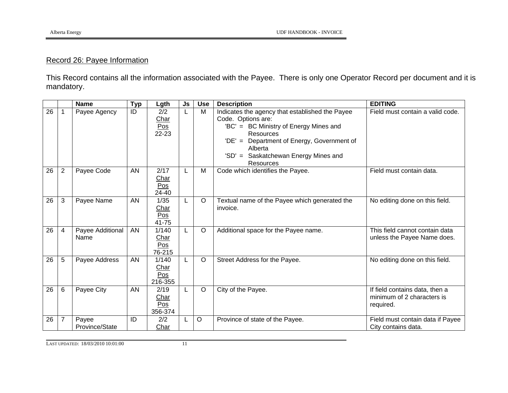# Record 26: Payee Information

This Record contains all the information associated with the Payee. There is only one Operator Record per document and it is mandatory.

|                 |                | <b>Name</b>              | <b>Typ</b> | Lgth                            | Js | <b>Use</b> | <b>Description</b>                                                                                                                                                                                                                                          | <b>EDITING</b>                                                            |
|-----------------|----------------|--------------------------|------------|---------------------------------|----|------------|-------------------------------------------------------------------------------------------------------------------------------------------------------------------------------------------------------------------------------------------------------------|---------------------------------------------------------------------------|
| $\overline{26}$ |                | Payee Agency             | ID         | 2/2<br>Char<br>Pos<br>22-23     | L  | M          | Indicates the agency that established the Payee<br>Code. Options are:<br>'BC' = BC Ministry of Energy Mines and<br><b>Resources</b><br>Department of Energy, Government of<br>$'DE' =$<br>Alberta<br>Saskatchewan Energy Mines and<br>$'SD' =$<br>Resources | Field must contain a valid code.                                          |
| 26              | $\overline{2}$ | Payee Code               | <b>AN</b>  | 2/17<br>Char<br>Pos<br>24-40    | L  | M          | Code which identifies the Payee.                                                                                                                                                                                                                            | Field must contain data.                                                  |
| 26              | 3              | Payee Name               | AN         | 1/35<br>Char<br>Pos<br>41-75    | L  | $\circ$    | Textual name of the Payee which generated the<br>invoice.                                                                                                                                                                                                   | No editing done on this field.                                            |
| 26              | 4              | Payee Additional<br>Name | <b>AN</b>  | 1/140<br>Char<br>Pos<br>76-215  | L  | $\circ$    | Additional space for the Payee name.                                                                                                                                                                                                                        | This field cannot contain data<br>unless the Payee Name does.             |
| 26              | 5              | Payee Address            | AN         | 1/140<br>Char<br>Pos<br>216-355 | L  | $\circ$    | Street Address for the Payee.                                                                                                                                                                                                                               | No editing done on this field.                                            |
| 26              | 6              | Payee City               | AN         | 2/19<br>Char<br>Pos<br>356-374  | L  | $\circ$    | City of the Payee.                                                                                                                                                                                                                                          | If field contains data, then a<br>minimum of 2 characters is<br>required. |
| 26              | 7              | Payee<br>Province/State  | ID         | 2/2<br>Char                     |    | $\circ$    | Province of state of the Payee.                                                                                                                                                                                                                             | Field must contain data if Payee<br>City contains data.                   |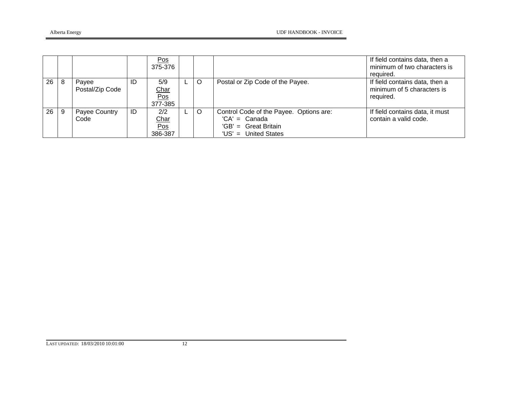|    |   |                          |    | Pos<br>375-376                       |     |                                                                                                            | If field contains data, then a<br>minimum of two characters is<br>required. |
|----|---|--------------------------|----|--------------------------------------|-----|------------------------------------------------------------------------------------------------------------|-----------------------------------------------------------------------------|
| 26 |   | Payee<br>Postal/Zip Code | ID | 5/9<br><u>Char</u><br>Pos<br>377-385 | - O | Postal or Zip Code of the Payee.                                                                           | If field contains data, then a<br>minimum of 5 characters is<br>required.   |
| 26 | 9 | Payee Country<br>Code    | ID | 2/2<br>Char<br>Pos<br>386-387        | O   | Control Code of the Payee. Options are:<br>$'CA' = Canada$<br>'GB' = Great Britain<br>'US' = United States | If field contains data, it must<br>contain a valid code.                    |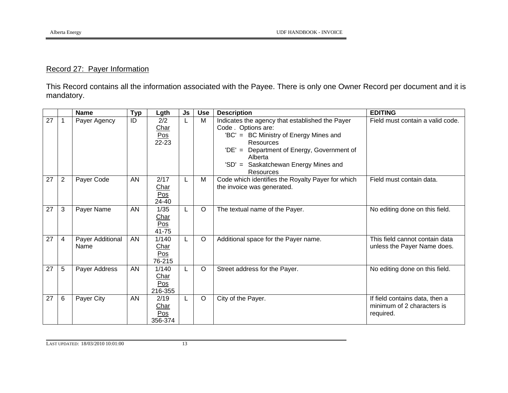# Record 27: Payer Information

This Record contains all the information associated with the Payee. There is only one Owner Record per document and it is mandatory.

|    |                | <b>Name</b>              | <b>Typ</b> | Lgth                                  | Js | <b>Use</b> | <b>Description</b>                                                                                                                                                                                                                              | <b>EDITING</b>                                                            |
|----|----------------|--------------------------|------------|---------------------------------------|----|------------|-------------------------------------------------------------------------------------------------------------------------------------------------------------------------------------------------------------------------------------------------|---------------------------------------------------------------------------|
| 27 |                | Payer Agency             | ID         | 2/2<br>Char<br>Pos<br>22-23           | L  | M          | Indicates the agency that established the Payer<br>Code. Options are:<br>'BC' = BC Ministry of Energy Mines and<br>Resources<br>Department of Energy, Government of<br>$'DE' =$<br>Alberta<br>'SD' = Saskatchewan Energy Mines and<br>Resources | Field must contain a valid code.                                          |
| 27 | $\overline{2}$ | Payer Code               | AN         | 2/17<br>Char<br>Pos<br>24-40          | L  | M          | Code which identifies the Royalty Payer for which<br>the invoice was generated.                                                                                                                                                                 | Field must contain data.                                                  |
| 27 | 3              | Payer Name               | AN         | 1/35<br>Char<br>Pos<br>41-75          | L  | $\circ$    | The textual name of the Payer.                                                                                                                                                                                                                  | No editing done on this field.                                            |
| 27 | 4              | Payer Additional<br>Name | AN         | 1/140<br>Char<br>Pos<br>76-215        | L  | $\circ$    | Additional space for the Payer name.                                                                                                                                                                                                            | This field cannot contain data<br>unless the Payer Name does.             |
| 27 | 5              | Payer Address            | AN         | 1/140<br>Char<br>Pos<br>216-355       |    | $\circ$    | Street address for the Payer.                                                                                                                                                                                                                   | No editing done on this field.                                            |
| 27 | 6              | Payer City               | AN         | 2/19<br><b>Char</b><br>Pos<br>356-374 | L  | $\circ$    | City of the Payer.                                                                                                                                                                                                                              | If field contains data, then a<br>minimum of 2 characters is<br>required. |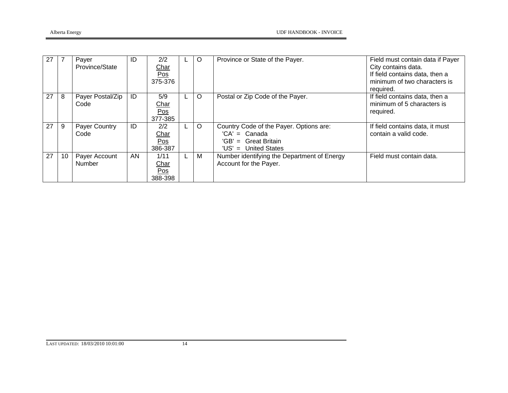| 27 |    | Payer<br>Province/State      | ID | 2/2<br>Char<br>Pos<br>375-376  |   | $\circ$ | Province or State of the Payer.                                                                            | Field must contain data if Payer<br>City contains data.<br>If field contains data, then a<br>minimum of two characters is<br>required. |
|----|----|------------------------------|----|--------------------------------|---|---------|------------------------------------------------------------------------------------------------------------|----------------------------------------------------------------------------------------------------------------------------------------|
| 27 | 8  | Payer Postal/Zip<br>Code     | ID | 5/9<br>Char<br>Pos<br>377-385  |   | $\circ$ | Postal or Zip Code of the Payer.                                                                           | If field contains data, then a<br>minimum of 5 characters is<br>required.                                                              |
| 27 | 9  | <b>Payer Country</b><br>Code | ID | 2/2<br>Char<br>Pos<br>386-387  | L | $\circ$ | Country Code of the Payer. Options are:<br>$'CA' = Canada$<br>'GB' = Great Britain<br>'US' = United States | If field contains data, it must<br>contain a valid code.                                                                               |
| 27 | 10 | Payer Account<br>Number      | AN | 1/11<br>Char<br>Pos<br>388-398 |   | M       | Number identifying the Department of Energy<br>Account for the Payer.                                      | Field must contain data.                                                                                                               |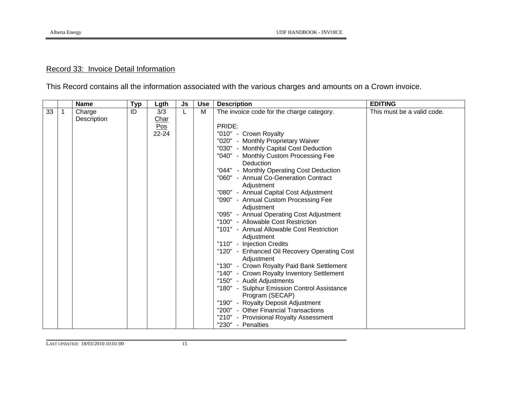#### Record 33: Invoice Detail Information

This Record contains all the information associated with the various charges and amounts on a Crown invoice.

|         | <b>Name</b>           | <b>Typ</b> | Lgth                        | Js | <b>Use</b> | <b>Description</b>                                                                                                                                                                                                                                                                                                                                                                                                                                                                                                                                                                                                                                                                                                                                                                                                                                                                                                                                                                                    | <b>EDITING</b>             |
|---------|-----------------------|------------|-----------------------------|----|------------|-------------------------------------------------------------------------------------------------------------------------------------------------------------------------------------------------------------------------------------------------------------------------------------------------------------------------------------------------------------------------------------------------------------------------------------------------------------------------------------------------------------------------------------------------------------------------------------------------------------------------------------------------------------------------------------------------------------------------------------------------------------------------------------------------------------------------------------------------------------------------------------------------------------------------------------------------------------------------------------------------------|----------------------------|
| 33<br>1 | Charge<br>Description | ID         | 3/3<br>Char<br>Pos<br>22-24 | L  | M          | The invoice code for the charge category.<br>PRIDE:<br>"010" - Crown Royalty<br>"020" - Monthly Proprietary Waiver<br>"030" - Monthly Capital Cost Deduction<br>"040" - Monthly Custom Processing Fee<br>Deduction<br>"044" - Monthly Operating Cost Deduction<br>"060" - Annual Co-Generation Contract<br>Adjustment<br>"080" - Annual Capital Cost Adjustment<br>"090" - Annual Custom Processing Fee<br>Adjustment<br>"095" - Annual Operating Cost Adjustment<br>"100" - Allowable Cost Restriction<br>"101" - Annual Allowable Cost Restriction<br>Adjustment<br>"110" - Injection Credits<br>"120" - Enhanced Oil Recovery Operating Cost<br>Adjustment<br>"130" - Crown Royalty Paid Bank Settlement<br>"140" - Crown Royalty Inventory Settlement<br>"150" - Audit Adjustments<br>"180" - Sulphur Emission Control Assistance<br>Program (SECAP)<br>"190" - Royalty Deposit Adjustment<br>"200" - Other Financial Transactions<br>"210" - Provisional Royalty Assessment<br>"230" - Penalties | This must be a valid code. |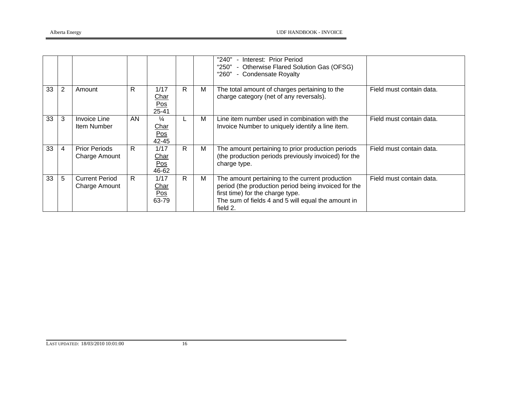|    |   |                                              |    |                                                   |    |   | - Interest: Prior Period<br>"240"<br>"250" - Otherwise Flared Solution Gas (OFSG)<br>- Condensate Royalty<br>"260"                                                                                            |                          |
|----|---|----------------------------------------------|----|---------------------------------------------------|----|---|---------------------------------------------------------------------------------------------------------------------------------------------------------------------------------------------------------------|--------------------------|
| 33 | 2 | Amount                                       | R  | 1/17<br>Char<br>Pos<br>$25 - 41$                  | R. | м | The total amount of charges pertaining to the<br>charge category (net of any reversals).                                                                                                                      | Field must contain data. |
| 33 | 3 | <b>Invoice Line</b><br>Item Number           | AN | $\frac{1}{4}$<br>Char<br>Pos<br>42-45             |    | M | Line item number used in combination with the<br>Invoice Number to uniquely identify a line item.                                                                                                             | Field must contain data. |
| 33 | 4 | <b>Prior Periods</b><br><b>Charge Amount</b> | R. | 1/17<br>Char<br>Pos<br>46-62                      | R. | м | The amount pertaining to prior production periods<br>(the production periods previously invoiced) for the<br>charge type.                                                                                     | Field must contain data. |
| 33 | 5 | <b>Current Period</b><br>Charge Amount       | R. | 1/17<br>Char<br>$\underline{\text{Pos}}$<br>63-79 | R. | м | The amount pertaining to the current production<br>period (the production period being invoiced for the<br>first time) for the charge type.<br>The sum of fields 4 and 5 will equal the amount in<br>field 2. | Field must contain data. |